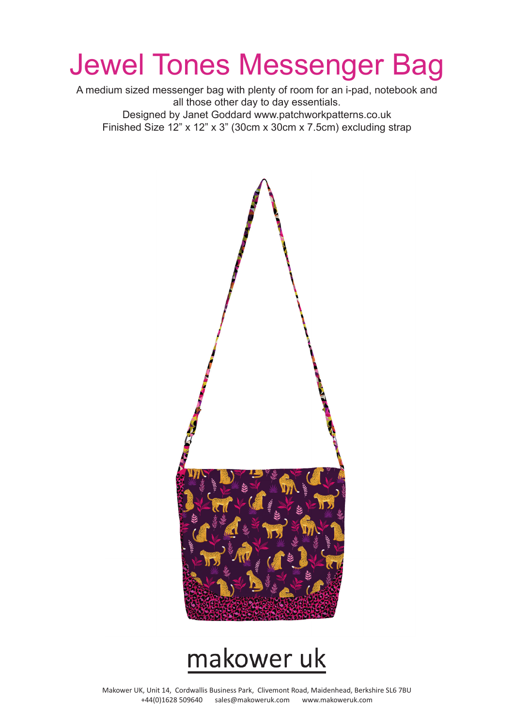# Jewel Tones Messenger Bag

A medium sized messenger bag with plenty of room for an i-pad, notebook and all those other day to day essentials. Designed by Janet Goddard www.patchworkpatterns.co.uk Finished Size 12" x 12" x 3" (30cm x 30cm x 7.5cm) excluding strap



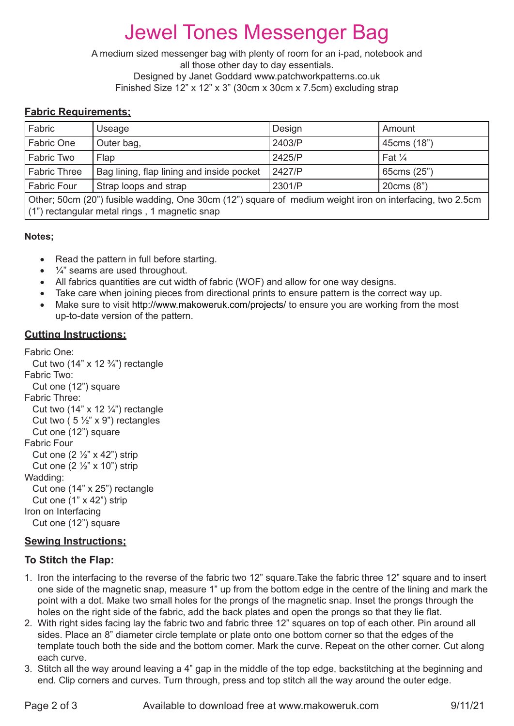# Jewel Tones Messenger Bag

A medium sized messenger bag with plenty of room for an i-pad, notebook and all those other day to day essentials. Designed by Janet Goddard www.patchworkpatterns.co.uk Finished Size 12" x 12" x 3" (30cm x 30cm x 7.5cm) excluding strap

## **Fabric Requirements;**

| Fabric                                                                                                                                                    | Useage                                    | Design | Amount            |
|-----------------------------------------------------------------------------------------------------------------------------------------------------------|-------------------------------------------|--------|-------------------|
| Fabric One                                                                                                                                                | Outer bag,                                | 2403/P | 45cms (18")       |
| Fabric Two                                                                                                                                                | Flap                                      | 2425/P | Fat $\frac{1}{4}$ |
| <b>Fabric Three</b>                                                                                                                                       | Bag lining, flap lining and inside pocket | 2427/P | 65cms (25")       |
| <b>Fabric Four</b>                                                                                                                                        | Strap loops and strap                     | 2301/P | 20cms (8")        |
| Other; 50cm (20") fusible wadding, One 30cm (12") square of medium weight iron on interfacing, two 2.5cm<br>(1") rectangular metal rings, 1 magnetic snap |                                           |        |                   |

#### **Notes;**

- Read the pattern in full before starting.
- $\bullet$   $\frac{1}{4}$  seams are used throughout.
- All fabrics quantities are cut width of fabric (WOF) and allow for one way designs.
- Take care when joining pieces from directional prints to ensure pattern is the correct way up.
- Make sure to visit http://www.makoweruk.com/projects/ to ensure you are working from the most up-to-date version of the pattern.

#### **Cutting Instructions:**

```
Fabric One:
  Cut two (14" \times 12 \frac{3}{4}) rectangle
Fabric Two:
   Cut one (12") square
Fabric Three:
  Cut two (14" \times 12 \frac{1}{4}") rectangle
  Cut two (5\frac{1}{2}x) x 9") rectangles
   Cut one (12") square
Fabric Four
  Cut one (2 \frac{1}{2} \times 42) strip
  Cut one (2 \frac{1}{2}" x 10") strip
Wadding:
   Cut one (14" x 25") rectangle
   Cut one (1" x 42") strip
Iron on Interfacing
   Cut one (12") square
```
#### **Sewing Instructions;**

#### **To Stitch the Flap:**

- 1. Iron the interfacing to the reverse of the fabric two 12" square.Take the fabric three 12" square and to insert one side of the magnetic snap, measure 1" up from the bottom edge in the centre of the lining and mark the point with a dot. Make two small holes for the prongs of the magnetic snap. Inset the prongs through the holes on the right side of the fabric, add the back plates and open the prongs so that they lie flat.
- 2. With right sides facing lay the fabric two and fabric three 12" squares on top of each other. Pin around all sides. Place an 8" diameter circle template or plate onto one bottom corner so that the edges of the template touch both the side and the bottom corner. Mark the curve. Repeat on the other corner. Cut along each curve.
- 3. Stitch all the way around leaving a 4" gap in the middle of the top edge, backstitching at the beginning and end. Clip corners and curves. Turn through, press and top stitch all the way around the outer edge.